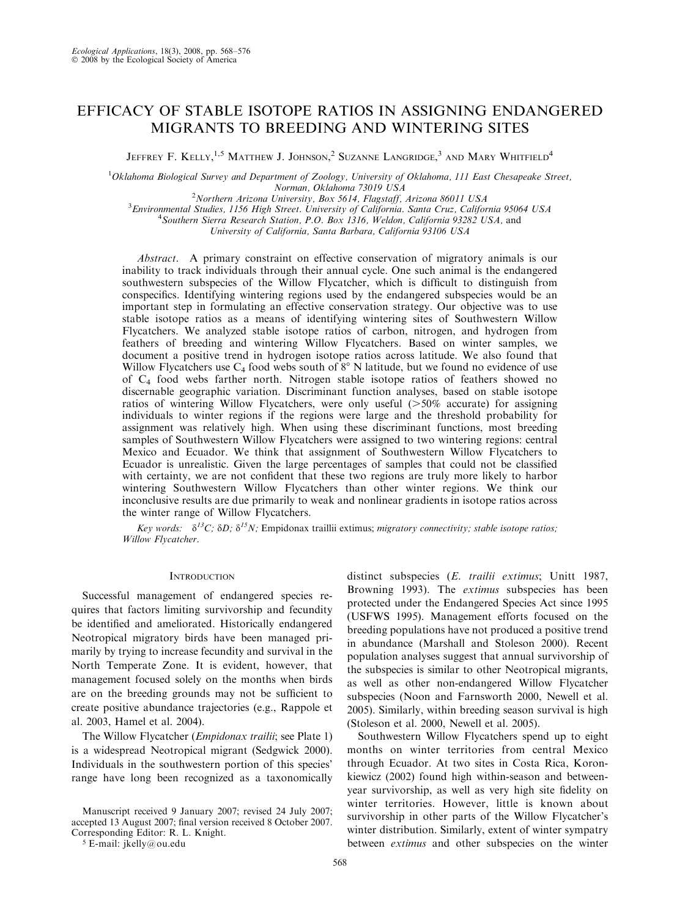# EFFICACY OF STABLE ISOTOPE RATIOS IN ASSIGNING ENDANGERED MIGRANTS TO BREEDING AND WINTERING SITES

JEFFREY F. KELLY,  $^{1,5}$  Matthew J. Johnson,  $^2$  Suzanne Langridge,  $^3$  and Mary Whitfield  $^4$ 

<sup>1</sup>Oklahoma Biological Survey and Department of Zoology, University of Oklahoma, 111 East Chesapeake Street, Norman, Oklahoma 73019 USA<br><sup>2</sup>Northern Arizona University, Box 5614, Flagstaff, Arizona 86011 USA

 $^{2}$ Northern Arizona University, Box 5614, Flagstaff, Arizona 86011 USA<br>3 Environmental Studies, 1156 High Street, University of California, Santa Cruz, Califor

Environmental Studies, 1156 High Street. University of California. Santa Cruz, California 95064 USA <sup>4</sup>  $^{4}$ Southern Sierra Research Station, P.O. Box 1316, Weldon, California 93282 USA, and

University of California, Santa Barbara, California 93106 USA

Abstract. A primary constraint on effective conservation of migratory animals is our inability to track individuals through their annual cycle. One such animal is the endangered southwestern subspecies of the Willow Flycatcher, which is difficult to distinguish from conspecifics. Identifying wintering regions used by the endangered subspecies would be an important step in formulating an effective conservation strategy. Our objective was to use stable isotope ratios as a means of identifying wintering sites of Southwestern Willow Flycatchers. We analyzed stable isotope ratios of carbon, nitrogen, and hydrogen from feathers of breeding and wintering Willow Flycatchers. Based on winter samples, we document a positive trend in hydrogen isotope ratios across latitude. We also found that Willow Flycatchers use  $C_4$  food webs south of  $8^\circ$  N latitude, but we found no evidence of use of C4 food webs farther north. Nitrogen stable isotope ratios of feathers showed no discernable geographic variation. Discriminant function analyses, based on stable isotope ratios of wintering Willow Flycatchers, were only useful  $(50\%$  accurate) for assigning individuals to winter regions if the regions were large and the threshold probability for assignment was relatively high. When using these discriminant functions, most breeding samples of Southwestern Willow Flycatchers were assigned to two wintering regions: central Mexico and Ecuador. We think that assignment of Southwestern Willow Flycatchers to Ecuador is unrealistic. Given the large percentages of samples that could not be classified with certainty, we are not confident that these two regions are truly more likely to harbor wintering Southwestern Willow Flycatchers than other winter regions. We think our inconclusive results are due primarily to weak and nonlinear gradients in isotope ratios across the winter range of Willow Flycatchers.

Key words:  $\delta^{13}C$ ;  $\delta D$ ;  $\delta^{15}N$ ; Empidonax traillii extimus; migratory connectivity; stable isotope ratios; Willow Flycatcher.

## **INTRODUCTION**

Successful management of endangered species requires that factors limiting survivorship and fecundity be identified and ameliorated. Historically endangered Neotropical migratory birds have been managed primarily by trying to increase fecundity and survival in the North Temperate Zone. It is evident, however, that management focused solely on the months when birds are on the breeding grounds may not be sufficient to create positive abundance trajectories (e.g., Rappole et al. 2003, Hamel et al. 2004).

The Willow Flycatcher (*Empidonax trailii*; see Plate 1) is a widespread Neotropical migrant (Sedgwick 2000). Individuals in the southwestern portion of this species' range have long been recognized as a taxonomically

Manuscript received 9 January 2007; revised 24 July 2007; accepted 13 August 2007; final version received 8 October 2007. Corresponding Editor: R. L. Knight.

<sup>5</sup> E-mail: jkelly@ou.edu

distinct subspecies (E. trailii extimus; Unitt 1987, Browning 1993). The *extimus* subspecies has been protected under the Endangered Species Act since 1995 (USFWS 1995). Management efforts focused on the breeding populations have not produced a positive trend in abundance (Marshall and Stoleson 2000). Recent population analyses suggest that annual survivorship of the subspecies is similar to other Neotropical migrants, as well as other non-endangered Willow Flycatcher subspecies (Noon and Farnsworth 2000, Newell et al. 2005). Similarly, within breeding season survival is high (Stoleson et al. 2000, Newell et al. 2005).

Southwestern Willow Flycatchers spend up to eight months on winter territories from central Mexico through Ecuador. At two sites in Costa Rica, Koronkiewicz (2002) found high within-season and betweenyear survivorship, as well as very high site fidelity on winter territories. However, little is known about survivorship in other parts of the Willow Flycatcher's winter distribution. Similarly, extent of winter sympatry between *extimus* and other subspecies on the winter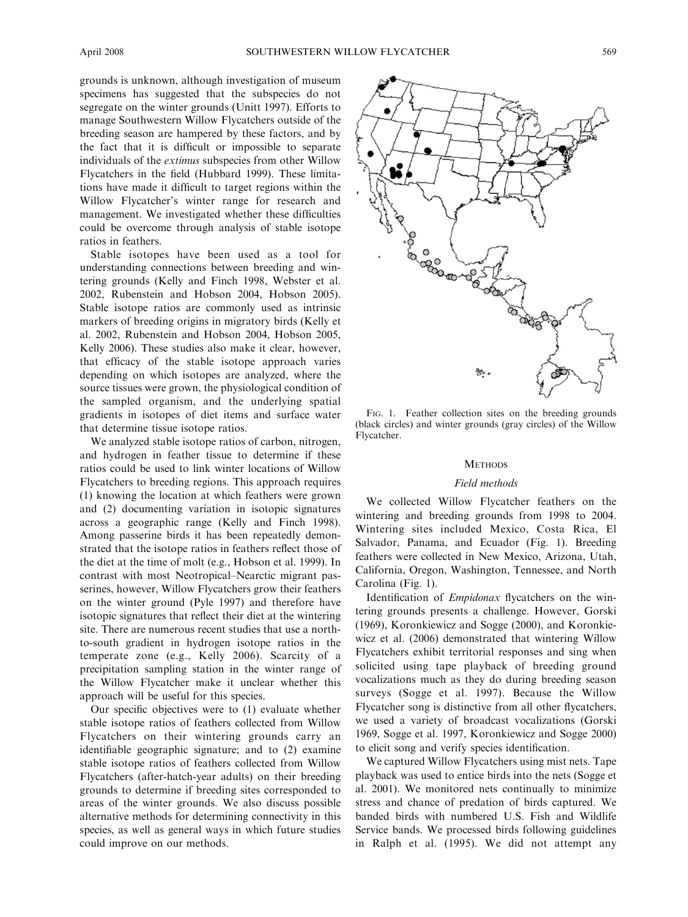grounds is unknown, although investigation of museum specimens has suggested that the subspecies do not segregate on the winter grounds (Unitt 1997). Efforts to manage Southwestern Willow Flycatchers outside of the breeding season are hampered by these factors, and by the fact that it is difficult or impossible to separate individuals of the extimus subspecies from other Willow Flycatchers in the field (Hubbard 1999). These limitations have made it difficult to target regions within the Willow Flycatcher's winter range for research and management. We investigated whether these difficulties could be overcome through analysis of stable isotope ratios in feathers.

Stable isotopes have been used as a tool for understanding connections between breeding and wintering grounds (Kelly and Finch 1998, Webster et al. 2002, Rubenstein and Hobson 2004, Hobson 2005). Stable isotope ratios are commonly used as intrinsic markers of breeding origins in migratory birds (Kelly et al. 2002, Rubenstein and Hobson 2004, Hobson 2005, Kelly 2006). These studies also make it clear, however, that efficacy of the stable isotope approach varies depending on which isotopes are analyzed, where the source tissues were grown, the physiological condition of the sampled organism, and the underlying spatial gradients in isotopes of diet items and surface water that determine tissue isotope ratios.

We analyzed stable isotope ratios of carbon, nitrogen, and hydrogen in feather tissue to determine if these ratios could be used to link winter locations of Willow Flycatchers to breeding regions. This approach requires (1) knowing the location at which feathers were grown and (2) documenting variation in isotopic signatures across a geographic range (Kelly and Finch 1998). Among passerine birds it has been repeatedly demonstrated that the isotope ratios in feathers reflect those of the diet at the time of molt (e.g., Hobson et al. 1999). In contrast with most Neotropical–Nearctic migrant passerines, however, Willow Flycatchers grow their feathers on the winter ground (Pyle 1997) and therefore have isotopic signatures that reflect their diet at the wintering site. There are numerous recent studies that use a northto-south gradient in hydrogen isotope ratios in the temperate zone (e.g., Kelly 2006). Scarcity of a precipitation sampling station in the winter range of the Willow Flycatcher make it unclear whether this approach will be useful for this species.

Our specific objectives were to (1) evaluate whether stable isotope ratios of feathers collected from Willow Flycatchers on their wintering grounds carry an identifiable geographic signature; and to (2) examine stable isotope ratios of feathers collected from Willow Flycatchers (after-hatch-year adults) on their breeding grounds to determine if breeding sites corresponded to areas of the winter grounds. We also discuss possible alternative methods for determining connectivity in this species, as well as general ways in which future studies could improve on our methods.



FIG. 1. Feather collection sites on the breeding grounds (black circles) and winter grounds (gray circles) of the Willow Flycatcher.

#### **METHODS**

#### Field methods

We collected Willow Flycatcher feathers on the wintering and breeding grounds from 1998 to 2004. Wintering sites included Mexico, Costa Rica, El Salvador, Panama, and Ecuador (Fig. 1). Breeding feathers were collected in New Mexico, Arizona, Utah, California, Oregon, Washington, Tennessee, and North Carolina (Fig. 1).

Identification of Empidonax flycatchers on the wintering grounds presents a challenge. However, Gorski (1969), Koronkiewicz and Sogge (2000), and Koronkiewicz et al. (2006) demonstrated that wintering Willow Flycatchers exhibit territorial responses and sing when solicited using tape playback of breeding ground vocalizations much as they do during breeding season surveys (Sogge et al. 1997). Because the Willow Flycatcher song is distinctive from all other flycatchers, we used a variety of broadcast vocalizations (Gorski 1969, Sogge et al. 1997, Koronkiewicz and Sogge 2000) to elicit song and verify species identification.

We captured Willow Flycatchers using mist nets. Tape playback was used to entice birds into the nets (Sogge et al. 2001). We monitored nets continually to minimize stress and chance of predation of birds captured. We banded birds with numbered U.S. Fish and Wildlife Service bands. We processed birds following guidelines in Ralph et al. (1995). We did not attempt any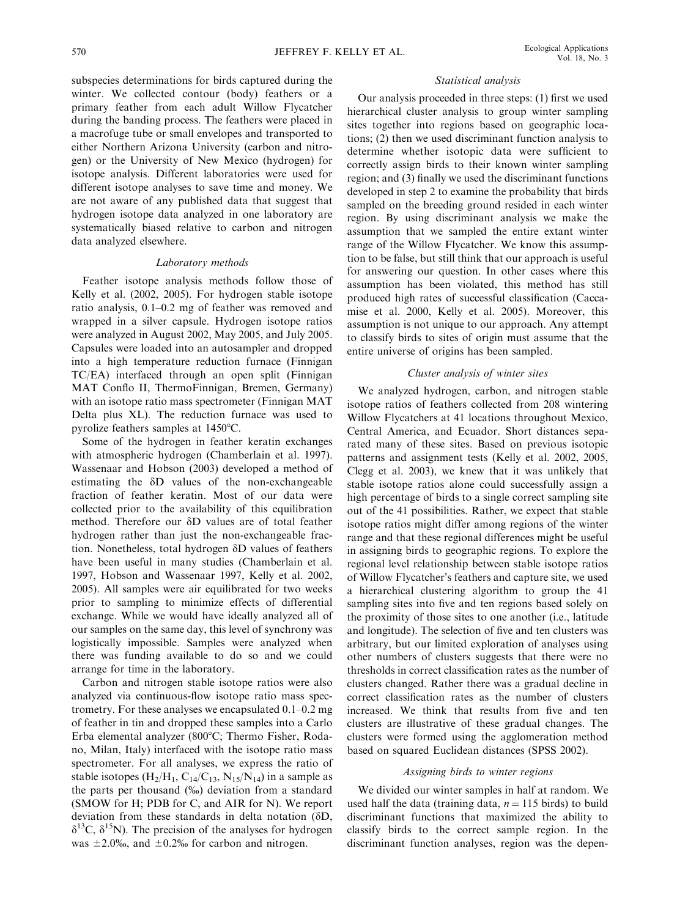subspecies determinations for birds captured during the winter. We collected contour (body) feathers or a primary feather from each adult Willow Flycatcher during the banding process. The feathers were placed in a macrofuge tube or small envelopes and transported to either Northern Arizona University (carbon and nitrogen) or the University of New Mexico (hydrogen) for isotope analysis. Different laboratories were used for different isotope analyses to save time and money. We are not aware of any published data that suggest that hydrogen isotope data analyzed in one laboratory are systematically biased relative to carbon and nitrogen data analyzed elsewhere.

## Laboratory methods

Feather isotope analysis methods follow those of Kelly et al. (2002, 2005). For hydrogen stable isotope ratio analysis, 0.1–0.2 mg of feather was removed and wrapped in a silver capsule. Hydrogen isotope ratios were analyzed in August 2002, May 2005, and July 2005. Capsules were loaded into an autosampler and dropped into a high temperature reduction furnace (Finnigan TC/EA) interfaced through an open split (Finnigan MAT Conflo II, ThermoFinnigan, Bremen, Germany) with an isotope ratio mass spectrometer (Finnigan MAT Delta plus XL). The reduction furnace was used to pyrolize feathers samples at  $1450^{\circ}$ C.

Some of the hydrogen in feather keratin exchanges with atmospheric hydrogen (Chamberlain et al. 1997). Wassenaar and Hobson (2003) developed a method of estimating the  $\delta$ D values of the non-exchangeable fraction of feather keratin. Most of our data were collected prior to the availability of this equilibration method. Therefore our  $\delta$ D values are of total feather hydrogen rather than just the non-exchangeable fraction. Nonetheless, total hydrogen δD values of feathers have been useful in many studies (Chamberlain et al. 1997, Hobson and Wassenaar 1997, Kelly et al. 2002, 2005). All samples were air equilibrated for two weeks prior to sampling to minimize effects of differential exchange. While we would have ideally analyzed all of our samples on the same day, this level of synchrony was logistically impossible. Samples were analyzed when there was funding available to do so and we could arrange for time in the laboratory.

Carbon and nitrogen stable isotope ratios were also analyzed via continuous-flow isotope ratio mass spectrometry. For these analyses we encapsulated 0.1–0.2 mg of feather in tin and dropped these samples into a Carlo Erba elemental analyzer (800°C; Thermo Fisher, Rodano, Milan, Italy) interfaced with the isotope ratio mass spectrometer. For all analyses, we express the ratio of stable isotopes  $(H_2/H_1, C_{14}/C_{13}, N_{15}/N_{14})$  in a sample as the parts per thousand  $(\%$ ) deviation from a standard (SMOW for H; PDB for C, and AIR for N). We report deviation from these standards in delta notation ( $\delta D$ ,  $\delta^{13}$ C,  $\delta^{15}$ N). The precision of the analyses for hydrogen was  $\pm 2.0\%$ , and  $\pm 0.2\%$  for carbon and nitrogen.

#### Statistical analysis

Our analysis proceeded in three steps: (1) first we used hierarchical cluster analysis to group winter sampling sites together into regions based on geographic locations; (2) then we used discriminant function analysis to determine whether isotopic data were sufficient to correctly assign birds to their known winter sampling region; and (3) finally we used the discriminant functions developed in step 2 to examine the probability that birds sampled on the breeding ground resided in each winter region. By using discriminant analysis we make the assumption that we sampled the entire extant winter range of the Willow Flycatcher. We know this assumption to be false, but still think that our approach is useful for answering our question. In other cases where this assumption has been violated, this method has still produced high rates of successful classification (Caccamise et al. 2000, Kelly et al. 2005). Moreover, this assumption is not unique to our approach. Any attempt to classify birds to sites of origin must assume that the entire universe of origins has been sampled.

## Cluster analysis of winter sites

We analyzed hydrogen, carbon, and nitrogen stable isotope ratios of feathers collected from 208 wintering Willow Flycatchers at 41 locations throughout Mexico, Central America, and Ecuador. Short distances separated many of these sites. Based on previous isotopic patterns and assignment tests (Kelly et al. 2002, 2005, Clegg et al. 2003), we knew that it was unlikely that stable isotope ratios alone could successfully assign a high percentage of birds to a single correct sampling site out of the 41 possibilities. Rather, we expect that stable isotope ratios might differ among regions of the winter range and that these regional differences might be useful in assigning birds to geographic regions. To explore the regional level relationship between stable isotope ratios of Willow Flycatcher's feathers and capture site, we used a hierarchical clustering algorithm to group the 41 sampling sites into five and ten regions based solely on the proximity of those sites to one another (i.e., latitude and longitude). The selection of five and ten clusters was arbitrary, but our limited exploration of analyses using other numbers of clusters suggests that there were no thresholds in correct classification rates as the number of clusters changed. Rather there was a gradual decline in correct classification rates as the number of clusters increased. We think that results from five and ten clusters are illustrative of these gradual changes. The clusters were formed using the agglomeration method based on squared Euclidean distances (SPSS 2002).

#### Assigning birds to winter regions

We divided our winter samples in half at random. We used half the data (training data,  $n = 115$  birds) to build discriminant functions that maximized the ability to classify birds to the correct sample region. In the discriminant function analyses, region was the depen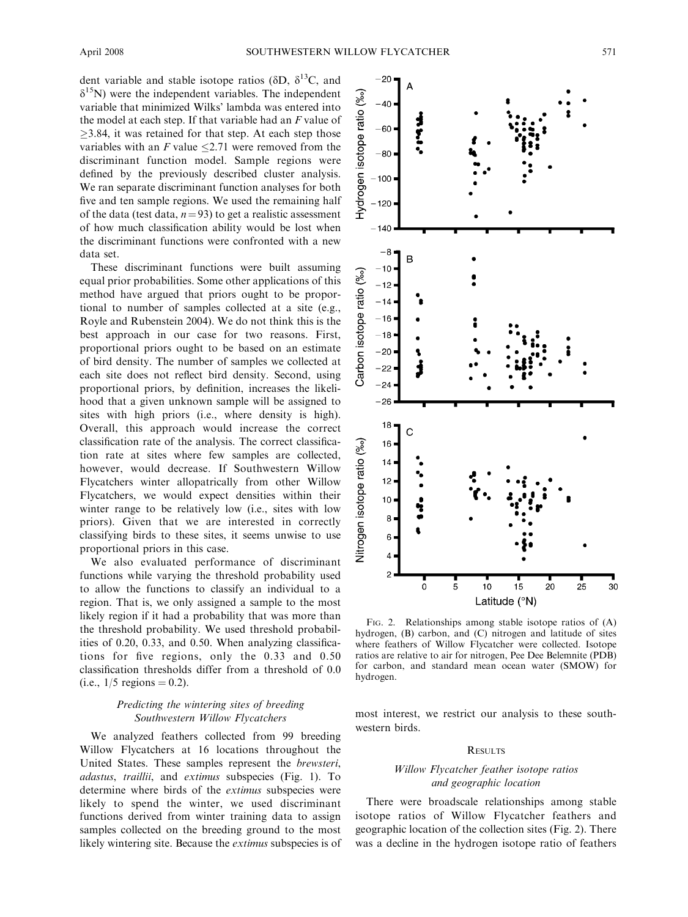dent variable and stable isotope ratios ( $\delta D$ ,  $\delta^{13}C$ , and  $\delta^{15}$ N) were the independent variables. The independent variable that minimized Wilks' lambda was entered into the model at each step. If that variable had an  $F$  value of  $\geq$ 3.84, it was retained for that step. At each step those variables with an  $F$  value  $\leq 2.71$  were removed from the discriminant function model. Sample regions were defined by the previously described cluster analysis. We ran separate discriminant function analyses for both five and ten sample regions. We used the remaining half of the data (test data,  $n=93$ ) to get a realistic assessment of how much classification ability would be lost when the discriminant functions were confronted with a new data set.

These discriminant functions were built assuming equal prior probabilities. Some other applications of this method have argued that priors ought to be proportional to number of samples collected at a site (e.g., Royle and Rubenstein 2004). We do not think this is the best approach in our case for two reasons. First, proportional priors ought to be based on an estimate of bird density. The number of samples we collected at each site does not reflect bird density. Second, using proportional priors, by definition, increases the likelihood that a given unknown sample will be assigned to sites with high priors (i.e., where density is high). Overall, this approach would increase the correct classification rate of the analysis. The correct classification rate at sites where few samples are collected, however, would decrease. If Southwestern Willow Flycatchers winter allopatrically from other Willow Flycatchers, we would expect densities within their winter range to be relatively low (i.e., sites with low priors). Given that we are interested in correctly classifying birds to these sites, it seems unwise to use proportional priors in this case.

We also evaluated performance of discriminant functions while varying the threshold probability used to allow the functions to classify an individual to a region. That is, we only assigned a sample to the most likely region if it had a probability that was more than the threshold probability. We used threshold probabilities of 0.20, 0.33, and 0.50. When analyzing classifications for five regions, only the 0.33 and 0.50 classification thresholds differ from a threshold of 0.0 (i.e.,  $1/5$  regions = 0.2).

## Predicting the wintering sites of breeding Southwestern Willow Flycatchers

We analyzed feathers collected from 99 breeding Willow Flycatchers at 16 locations throughout the United States. These samples represent the brewsteri, adastus, traillii, and extimus subspecies (Fig. 1). To determine where birds of the extimus subspecies were likely to spend the winter, we used discriminant functions derived from winter training data to assign samples collected on the breeding ground to the most likely wintering site. Because the *extimus* subspecies is of



FIG. 2. Relationships among stable isotope ratios of (A) hydrogen, (B) carbon, and (C) nitrogen and latitude of sites where feathers of Willow Flycatcher were collected. Isotope ratios are relative to air for nitrogen, Pee Dee Belemnite (PDB) for carbon, and standard mean ocean water (SMOW) for hydrogen.

most interest, we restrict our analysis to these southwestern birds.

### **RESULTS**

# Willow Flycatcher feather isotope ratios and geographic location

There were broadscale relationships among stable isotope ratios of Willow Flycatcher feathers and geographic location of the collection sites (Fig. 2). There was a decline in the hydrogen isotope ratio of feathers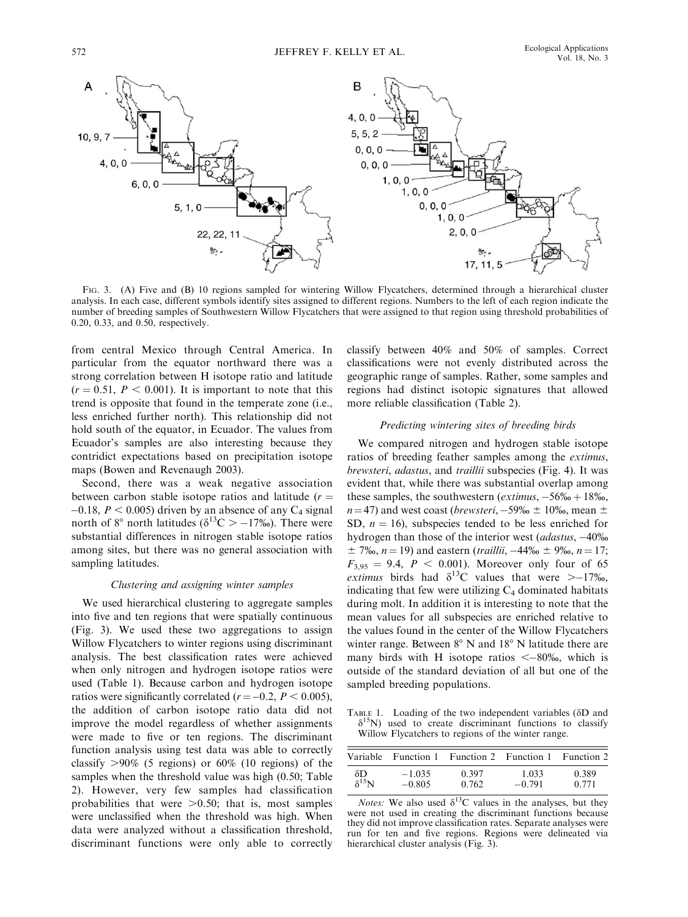

FIG. 3. (A) Five and (B) 10 regions sampled for wintering Willow Flycatchers, determined through a hierarchical cluster analysis. In each case, different symbols identify sites assigned to different regions. Numbers to the left of each region indicate the number of breeding samples of Southwestern Willow Flycatchers that were assigned to that region using threshold probabilities of 0.20, 0.33, and 0.50, respectively.

from central Mexico through Central America. In particular from the equator northward there was a strong correlation between H isotope ratio and latitude  $(r = 0.51, P < 0.001)$ . It is important to note that this trend is opposite that found in the temperate zone (i.e., less enriched further north). This relationship did not hold south of the equator, in Ecuador. The values from Ecuador's samples are also interesting because they contridict expectations based on precipitation isotope maps (Bowen and Revenaugh 2003).

Second, there was a weak negative association between carbon stable isotope ratios and latitude  $(r =$  $-0.18$ ,  $P < 0.005$ ) driven by an absence of any C<sub>4</sub> signal north of 8° north latitudes ( $\delta^{13}C > -17\%$ ). There were substantial differences in nitrogen stable isotope ratios among sites, but there was no general association with sampling latitudes.

#### Clustering and assigning winter samples

We used hierarchical clustering to aggregate samples into five and ten regions that were spatially continuous (Fig. 3). We used these two aggregations to assign Willow Flycatchers to winter regions using discriminant analysis. The best classification rates were achieved when only nitrogen and hydrogen isotope ratios were used (Table 1). Because carbon and hydrogen isotope ratios were significantly correlated ( $r = -0.2$ ,  $P < 0.005$ ), the addition of carbon isotope ratio data did not improve the model regardless of whether assignments were made to five or ten regions. The discriminant function analysis using test data was able to correctly classify  $>90\%$  (5 regions) or 60% (10 regions) of the samples when the threshold value was high (0.50; Table 2). However, very few samples had classification probabilities that were  $>0.50$ ; that is, most samples were unclassified when the threshold was high. When data were analyzed without a classification threshold, discriminant functions were only able to correctly classify between 40% and 50% of samples. Correct classifications were not evenly distributed across the geographic range of samples. Rather, some samples and regions had distinct isotopic signatures that allowed more reliable classification (Table 2).

# Predicting wintering sites of breeding birds

We compared nitrogen and hydrogen stable isotope ratios of breeding feather samples among the extimus, brewsteri, adastus, and traillii subspecies (Fig. 4). It was evident that, while there was substantial overlap among these samples, the southwestern (*extimus*,  $-56\% + 18\%$ ,  $n=47$ ) and west coast (*brewsteri*,  $-59\% \pm 10\%$ , mean  $\pm$ SD,  $n = 16$ ), subspecies tended to be less enriched for hydrogen than those of the interior west (*adastus*,  $-40\%$  $\pm$  7‰, n = 19) and eastern (*traillii*, -44‰  $\pm$  9‰, n = 17;  $F_{3,95} = 9.4$ ,  $P < 0.001$ ). Moreover only four of 65 extimus birds had  $\delta^{13}$ C values that were  $\ge -17\%$ , indicating that few were utilizing  $C_4$  dominated habitats during molt. In addition it is interesting to note that the mean values for all subspecies are enriched relative to the values found in the center of the Willow Flycatchers winter range. Between  $8^{\circ}$  N and  $18^{\circ}$  N latitude there are many birds with H isotope ratios  $\leq -80\%$ , which is outside of the standard deviation of all but one of the sampled breeding populations.

TABLE 1. Loading of the two independent variables ( $\delta D$  and  $\delta^{15}$ N) used to create discriminant functions to classify Willow Flycatchers to regions of the winter range.

|                 |          | Variable Function 1 Function 2 Function 1 Function 2 |          |       |
|-----------------|----------|------------------------------------------------------|----------|-------|
| δD              | $-1.035$ | 0.397                                                | 1.033    | 0.389 |
| $\delta^{15}$ N | $-0.805$ | 0.762                                                | $-0.791$ | 0.771 |

*Notes:* We also used  $\delta^{13}$ C values in the analyses, but they were not used in creating the discriminant functions because they did not improve classification rates. Separate analyses were run for ten and five regions. Regions were delineated via hierarchical cluster analysis (Fig. 3).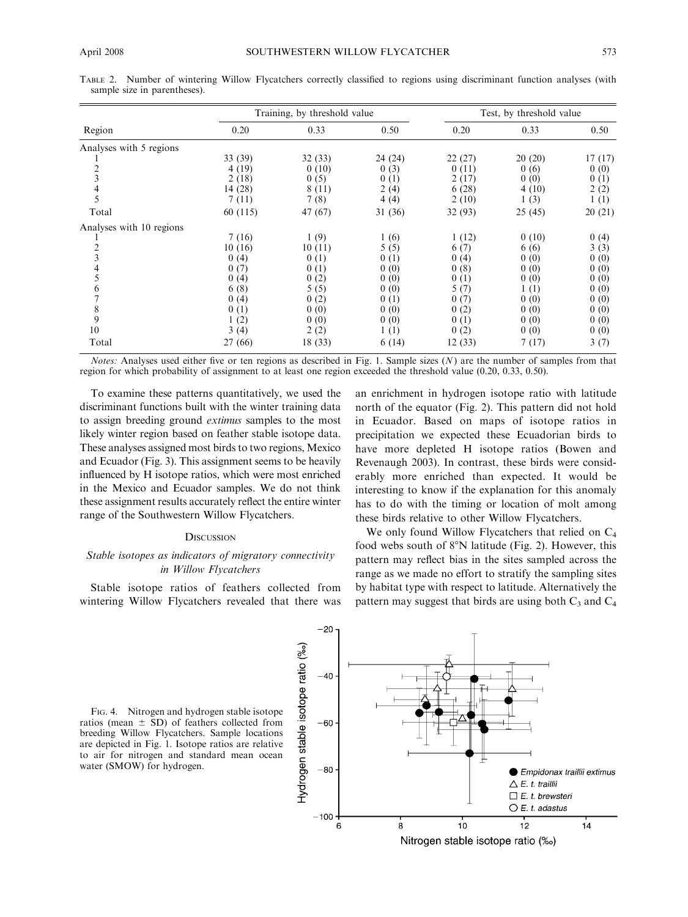|                              |  |  |  |  | TABLE 2. Number of wintering Willow Flycatchers correctly classified to regions using discriminant function analyses (with |  |  |
|------------------------------|--|--|--|--|----------------------------------------------------------------------------------------------------------------------------|--|--|
| sample size in parentheses). |  |  |  |  |                                                                                                                            |  |  |

|                          |          | Training, by threshold value | Test, by threshold value |         |         |        |
|--------------------------|----------|------------------------------|--------------------------|---------|---------|--------|
| Region                   | 0.20     | 0.33                         | 0.50                     | 0.20    | 0.33    | 0.50   |
| Analyses with 5 regions  |          |                              |                          |         |         |        |
|                          | 33 (39)  | 32(33)                       | 24(24)                   | 22(27)  | 20(20)  | 17(17) |
|                          | 4 (19)   | 0(10)                        | 0(3)                     | 0(11)   | 0(6)    | 0(0)   |
| $\frac{2}{3}$            | 2(18)    | 0(5)                         | 0(1)                     | 2(17)   | 0(0)    | 0(1)   |
| $\overline{\mathcal{A}}$ | 14(28)   | 8 (11)                       | 2(4)                     | 6(28)   | 4(10)   | 2(2)   |
| 5                        | 7(11)    | 7(8)                         | 4(4)                     | 2(10)   | 1(3)    | 1(1)   |
| Total                    | 60 (115) | 47 (67)                      | 31 (36)                  | 32 (93) | 25 (45) | 20(21) |
| Analyses with 10 regions |          |                              |                          |         |         |        |
|                          | 7(16)    | 1(9)                         | 1(6)                     | 1(12)   | 0(10)   | 0(4)   |
|                          | 10(16)   | 10(11)                       | 5(5)                     | 6(7)    | 6(6)    | 3(3)   |
| $\frac{2}{3}$            | 0(4)     | 0(1)                         | 0(1)                     | 0(4)    | 0(0)    | 0(0)   |
| 4                        | 0(7)     | 0(1)                         | 0(0)                     | 0(8)    | 0(0)    | 0(0)   |
| 5                        | 0(4)     | 0(2)                         | 0(0)                     | 0(1)    | 0(0)    | 0(0)   |
| 6                        | 6(8)     | 5(5)                         | 0(0)                     | 5(7)    | 1(1)    | 0(0)   |
| $\overline{7}$           | 0(4)     | 0(2)                         | 0(1)                     | 0(7)    | 0(0)    | 0(0)   |
| 8                        | 0(1)     | 0(0)                         | 0(0)                     | 0(2)    | 0(0)    | 0(0)   |
| 9                        | 1(2)     | 0(0)                         | 0(0)                     | 0(1)    | 0(0)    | 0(0)   |
| 10                       | 3(4)     | 2(2)                         | 1(1)                     | 0(2)    | 0(0)    | 0(0)   |
| Total                    | 27 (66)  | 18 (33)                      | 6(14)                    | 12(33)  | 7(17)   | 3(7)   |

*Notes:* Analyses used either five or ten regions as described in Fig. 1. Sample sizes  $(N)$  are the number of samples from that region for which probability of assignment to at least one region exceeded the threshold value (0.20, 0.33, 0.50).

To examine these patterns quantitatively, we used the discriminant functions built with the winter training data to assign breeding ground extimus samples to the most likely winter region based on feather stable isotope data. These analyses assigned most birds to two regions, Mexico and Ecuador (Fig. 3). This assignment seems to be heavily influenced by H isotope ratios, which were most enriched in the Mexico and Ecuador samples. We do not think these assignment results accurately reflect the entire winter range of the Southwestern Willow Flycatchers.

#### **DISCUSSION**

### Stable isotopes as indicators of migratory connectivity in Willow Flycatchers

Stable isotope ratios of feathers collected from wintering Willow Flycatchers revealed that there was

an enrichment in hydrogen isotope ratio with latitude north of the equator (Fig. 2). This pattern did not hold in Ecuador. Based on maps of isotope ratios in precipitation we expected these Ecuadorian birds to have more depleted H isotope ratios (Bowen and Revenaugh 2003). In contrast, these birds were considerably more enriched than expected. It would be interesting to know if the explanation for this anomaly has to do with the timing or location of molt among these birds relative to other Willow Flycatchers.

We only found Willow Flycatchers that relied on  $C_4$ food webs south of  $8^\circ$ N latitude (Fig. 2). However, this pattern may reflect bias in the sites sampled across the range as we made no effort to stratify the sampling sites by habitat type with respect to latitude. Alternatively the pattern may suggest that birds are using both  $C_3$  and  $C_4$ 

FIG. 4. Nitrogen and hydrogen stable isotope ratios (mean  $\pm$  SD) of feathers collected from breeding Willow Flycatchers. Sample locations are depicted in Fig. 1. Isotope ratios are relative to air for nitrogen and standard mean ocean water (SMOW) for hydrogen.

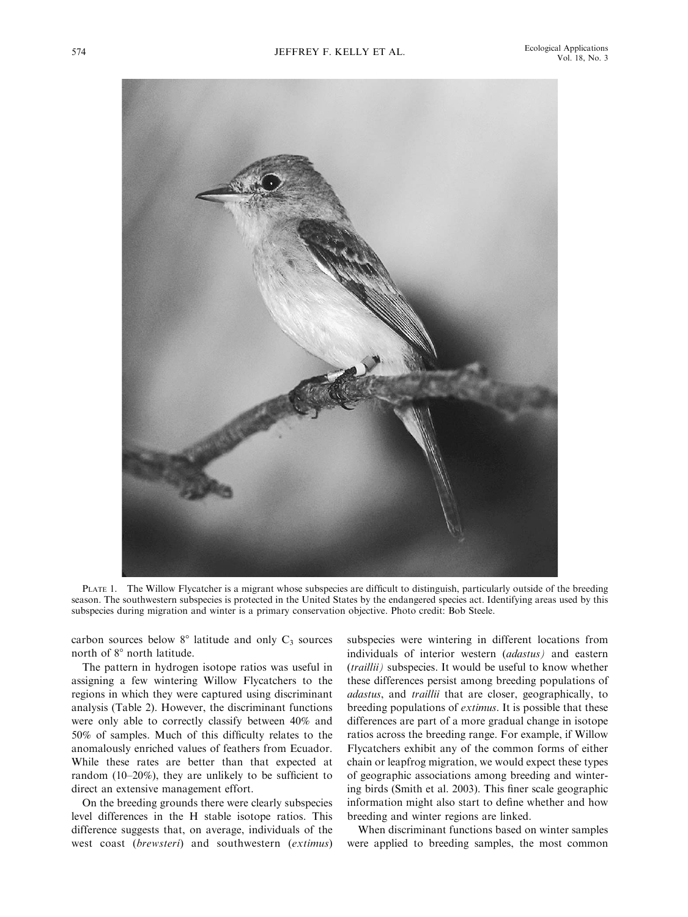

PLATE 1. The Willow Flycatcher is a migrant whose subspecies are difficult to distinguish, particularly outside of the breeding season. The southwestern subspecies is protected in the United States by the endangered species act. Identifying areas used by this subspecies during migration and winter is a primary conservation objective. Photo credit: Bob Steele.

carbon sources below  $8^\circ$  latitude and only  $C_3$  sources north of 8° north latitude.

The pattern in hydrogen isotope ratios was useful in assigning a few wintering Willow Flycatchers to the regions in which they were captured using discriminant analysis (Table 2). However, the discriminant functions were only able to correctly classify between 40% and 50% of samples. Much of this difficulty relates to the anomalously enriched values of feathers from Ecuador. While these rates are better than that expected at random (10–20%), they are unlikely to be sufficient to direct an extensive management effort.

On the breeding grounds there were clearly subspecies level differences in the H stable isotope ratios. This difference suggests that, on average, individuals of the west coast (brewsteri) and southwestern (extimus) subspecies were wintering in different locations from individuals of interior western (adastus) and eastern (traillii) subspecies. It would be useful to know whether these differences persist among breeding populations of adastus, and traillii that are closer, geographically, to breeding populations of extimus. It is possible that these differences are part of a more gradual change in isotope ratios across the breeding range. For example, if Willow Flycatchers exhibit any of the common forms of either chain or leapfrog migration, we would expect these types of geographic associations among breeding and wintering birds (Smith et al. 2003). This finer scale geographic information might also start to define whether and how breeding and winter regions are linked.

When discriminant functions based on winter samples were applied to breeding samples, the most common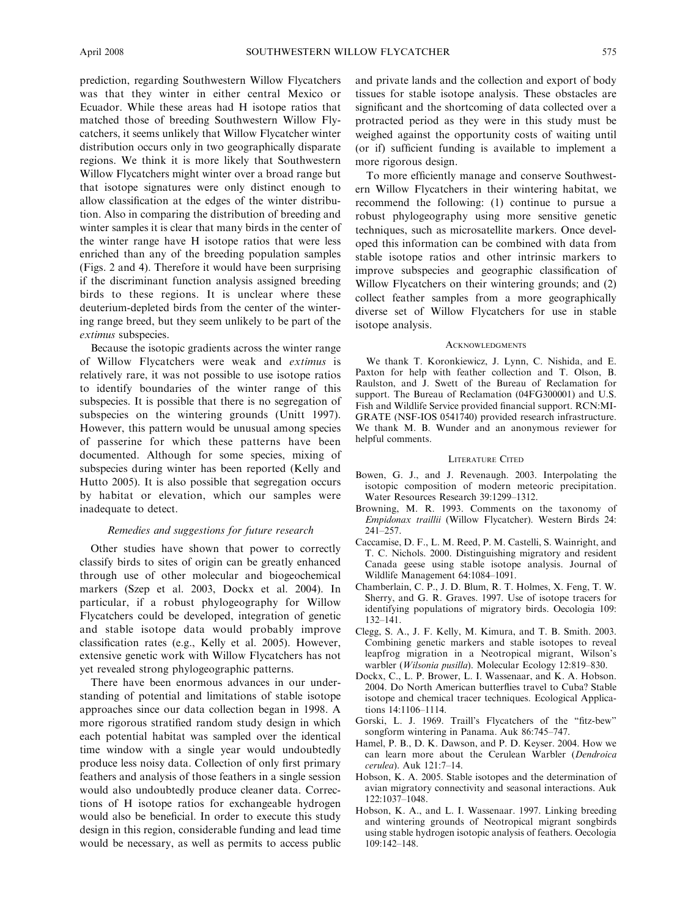prediction, regarding Southwestern Willow Flycatchers was that they winter in either central Mexico or Ecuador. While these areas had H isotope ratios that matched those of breeding Southwestern Willow Flycatchers, it seems unlikely that Willow Flycatcher winter distribution occurs only in two geographically disparate regions. We think it is more likely that Southwestern Willow Flycatchers might winter over a broad range but that isotope signatures were only distinct enough to allow classification at the edges of the winter distribution. Also in comparing the distribution of breeding and winter samples it is clear that many birds in the center of the winter range have H isotope ratios that were less enriched than any of the breeding population samples (Figs. 2 and 4). Therefore it would have been surprising if the discriminant function analysis assigned breeding birds to these regions. It is unclear where these deuterium-depleted birds from the center of the wintering range breed, but they seem unlikely to be part of the extimus subspecies.

Because the isotopic gradients across the winter range of Willow Flycatchers were weak and extimus is relatively rare, it was not possible to use isotope ratios to identify boundaries of the winter range of this subspecies. It is possible that there is no segregation of subspecies on the wintering grounds (Unitt 1997). However, this pattern would be unusual among species of passerine for which these patterns have been documented. Although for some species, mixing of subspecies during winter has been reported (Kelly and Hutto 2005). It is also possible that segregation occurs by habitat or elevation, which our samples were inadequate to detect.

#### Remedies and suggestions for future research

Other studies have shown that power to correctly classify birds to sites of origin can be greatly enhanced through use of other molecular and biogeochemical markers (Szep et al. 2003, Dockx et al. 2004). In particular, if a robust phylogeography for Willow Flycatchers could be developed, integration of genetic and stable isotope data would probably improve classification rates (e.g., Kelly et al. 2005). However, extensive genetic work with Willow Flycatchers has not yet revealed strong phylogeographic patterns.

There have been enormous advances in our understanding of potential and limitations of stable isotope approaches since our data collection began in 1998. A more rigorous stratified random study design in which each potential habitat was sampled over the identical time window with a single year would undoubtedly produce less noisy data. Collection of only first primary feathers and analysis of those feathers in a single session would also undoubtedly produce cleaner data. Corrections of H isotope ratios for exchangeable hydrogen would also be beneficial. In order to execute this study design in this region, considerable funding and lead time would be necessary, as well as permits to access public and private lands and the collection and export of body tissues for stable isotope analysis. These obstacles are significant and the shortcoming of data collected over a protracted period as they were in this study must be weighed against the opportunity costs of waiting until (or if) sufficient funding is available to implement a more rigorous design.

To more efficiently manage and conserve Southwestern Willow Flycatchers in their wintering habitat, we recommend the following: (1) continue to pursue a robust phylogeography using more sensitive genetic techniques, such as microsatellite markers. Once developed this information can be combined with data from stable isotope ratios and other intrinsic markers to improve subspecies and geographic classification of Willow Flycatchers on their wintering grounds; and (2) collect feather samples from a more geographically diverse set of Willow Flycatchers for use in stable isotope analysis.

#### **ACKNOWLEDGMENTS**

We thank T. Koronkiewicz, J. Lynn, C. Nishida, and E. Paxton for help with feather collection and T. Olson, B. Raulston, and J. Swett of the Bureau of Reclamation for support. The Bureau of Reclamation (04FG300001) and U.S. Fish and Wildlife Service provided financial support. RCN:MI-GRATE (NSF-IOS 0541740) provided research infrastructure. We thank M. B. Wunder and an anonymous reviewer for helpful comments.

#### LITERATURE CITED

- Bowen, G. J., and J. Revenaugh. 2003. Interpolating the isotopic composition of modern meteoric precipitation. Water Resources Research 39:1299–1312.
- Browning, M. R. 1993. Comments on the taxonomy of Empidonax traillii (Willow Flycatcher). Western Birds 24: 241–257.
- Caccamise, D. F., L. M. Reed, P. M. Castelli, S. Wainright, and T. C. Nichols. 2000. Distinguishing migratory and resident Canada geese using stable isotope analysis. Journal of Wildlife Management 64:1084–1091.
- Chamberlain, C. P., J. D. Blum, R. T. Holmes, X. Feng, T. W. Sherry, and G. R. Graves. 1997. Use of isotope tracers for identifying populations of migratory birds. Oecologia 109: 132–141.
- Clegg, S. A., J. F. Kelly, M. Kimura, and T. B. Smith. 2003. Combining genetic markers and stable isotopes to reveal leapfrog migration in a Neotropical migrant, Wilson's warbler (Wilsonia pusilla). Molecular Ecology 12:819–830.
- Dockx, C., L. P. Brower, L. I. Wassenaar, and K. A. Hobson. 2004. Do North American butterflies travel to Cuba? Stable isotope and chemical tracer techniques. Ecological Applications 14:1106–1114.
- Gorski, L. J. 1969. Traill's Flycatchers of the ''fitz-bew'' songform wintering in Panama. Auk 86:745–747.
- Hamel, P. B., D. K. Dawson, and P. D. Keyser. 2004. How we can learn more about the Cerulean Warbler (Dendroica cerulea). Auk 121:7–14.
- Hobson, K. A. 2005. Stable isotopes and the determination of avian migratory connectivity and seasonal interactions. Auk 122:1037–1048.
- Hobson, K. A., and L. I. Wassenaar. 1997. Linking breeding and wintering grounds of Neotropical migrant songbirds using stable hydrogen isotopic analysis of feathers. Oecologia 109:142–148.